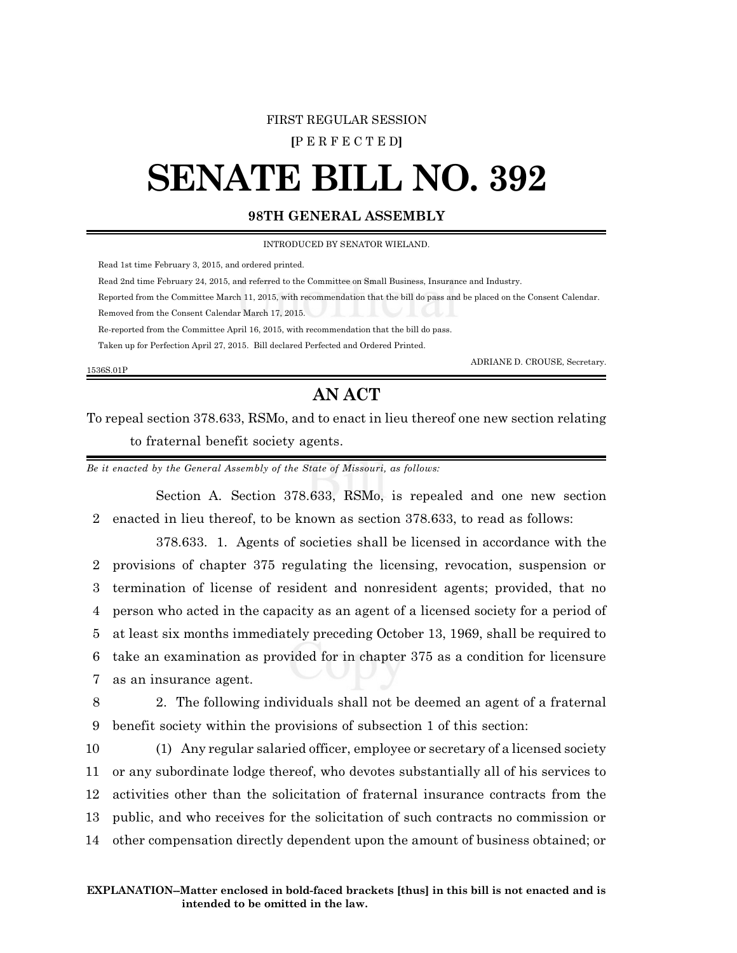## FIRST REGULAR SESSION

**[**P E R F E C T E D**]**

## **SENATE BILL NO. 392**

## **98TH GENERAL ASSEMBLY**

INTRODUCED BY SENATOR WIELAND.

Read 1st time February 3, 2015, and ordered printed.

Read 2nd time February 24, 2015, and referred to the Committee on Small Business, Insurance and Industry.

Reported from the Committee March 11, 2015, with recommendation that the bill do pass and be placed on the Consent Calendar.

Removed from the Consent Calendar March 17, 2015.

Re-reported from the Committee April 16, 2015, with recommendation that the bill do pass.

Taken up for Perfection April 27, 2015. Bill declared Perfected and Ordered Printed.

1536S.01P

ADRIANE D. CROUSE, Secretary.

## **AN ACT**

To repeal section 378.633, RSMo, and to enact in lieu thereof one new section relating to fraternal benefit society agents.

*Be it enacted by the General Assembly of the State of Missouri, as follows:*

Section A. Section 378.633, RSMo, is repealed and one new section 2 enacted in lieu thereof, to be known as section 378.633, to read as follows:

378.633. 1. Agents of societies shall be licensed in accordance with the provisions of chapter 375 regulating the licensing, revocation, suspension or termination of license of resident and nonresident agents; provided, that no person who acted in the capacity as an agent of a licensed society for a period of at least six months immediately preceding October 13, 1969, shall be required to take an examination as provided for in chapter 375 as a condition for licensure as an insurance agent.

8 2. The following individuals shall not be deemed an agent of a fraternal 9 benefit society within the provisions of subsection 1 of this section:

 (1) Any regular salaried officer, employee or secretary of a licensed society or any subordinate lodge thereof, who devotes substantially all of his services to activities other than the solicitation of fraternal insurance contracts from the public, and who receives for the solicitation of such contracts no commission or other compensation directly dependent upon the amount of business obtained; or